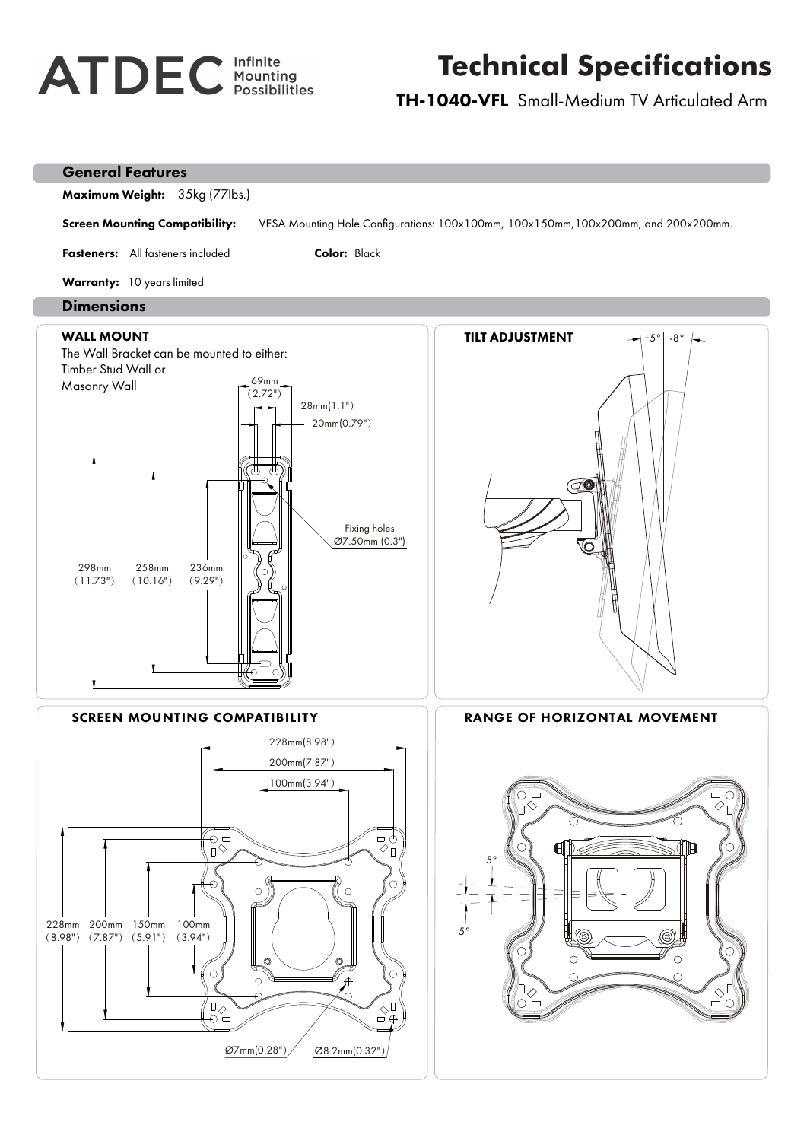## **ATDEC** Infinite

## **Technical Specifications**

TH-1040-VFL Small-Medium TV Articulated Arm